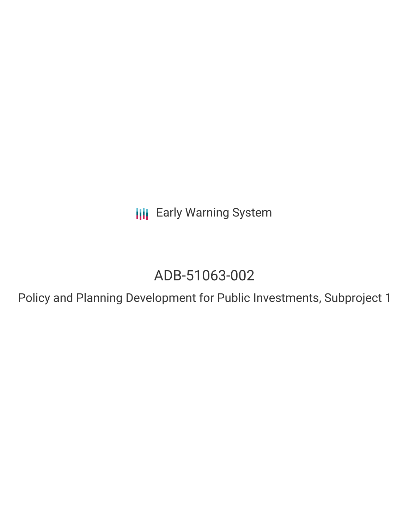**III** Early Warning System

# ADB-51063-002

Policy and Planning Development for Public Investments, Subproject 1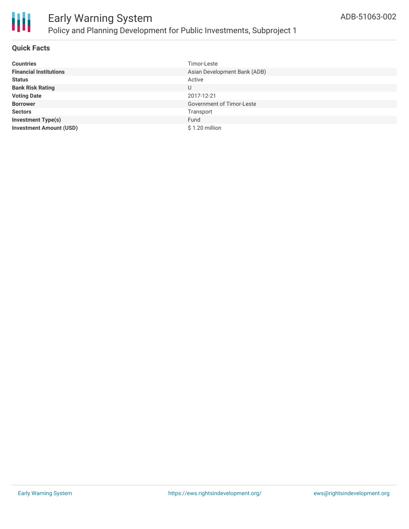

#### **Quick Facts**

| <b>Countries</b>               | Timor-Leste                      |
|--------------------------------|----------------------------------|
| <b>Financial Institutions</b>  | Asian Development Bank (ADB)     |
| <b>Status</b>                  | Active                           |
| <b>Bank Risk Rating</b>        | U                                |
| <b>Voting Date</b>             | 2017-12-21                       |
| <b>Borrower</b>                | <b>Government of Timor-Leste</b> |
| <b>Sectors</b>                 | Transport                        |
| <b>Investment Type(s)</b>      | Fund                             |
| <b>Investment Amount (USD)</b> | \$1.20 million                   |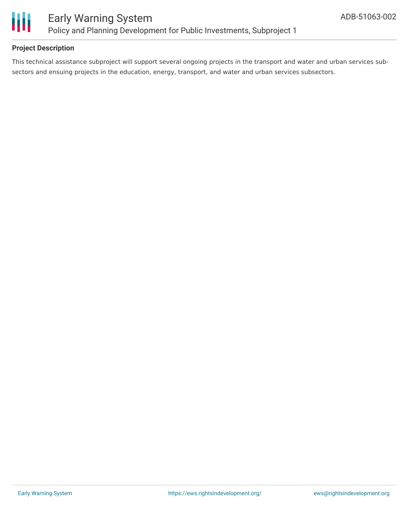

#### **Project Description**

This technical assistance subproject will support several ongoing projects in the transport and water and urban services subsectors and ensuing projects in the education, energy, transport, and water and urban services subsectors.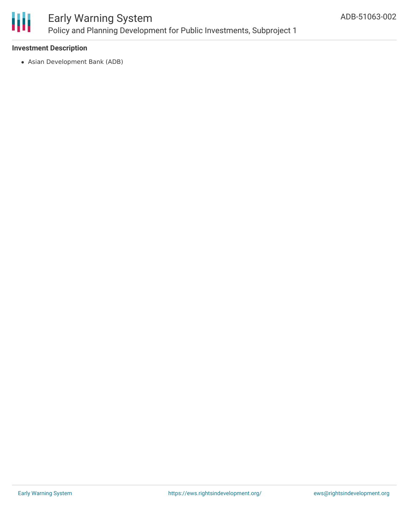

#### **Investment Description**

Asian Development Bank (ADB)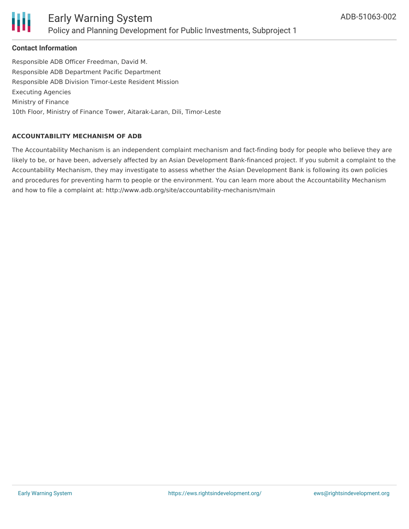

#### **Contact Information**

Responsible ADB Officer Freedman, David M. Responsible ADB Department Pacific Department Responsible ADB Division Timor-Leste Resident Mission Executing Agencies Ministry of Finance 10th Floor, Ministry of Finance Tower, Aitarak-Laran, Dili, Timor-Leste

#### **ACCOUNTABILITY MECHANISM OF ADB**

The Accountability Mechanism is an independent complaint mechanism and fact-finding body for people who believe they are likely to be, or have been, adversely affected by an Asian Development Bank-financed project. If you submit a complaint to the Accountability Mechanism, they may investigate to assess whether the Asian Development Bank is following its own policies and procedures for preventing harm to people or the environment. You can learn more about the Accountability Mechanism and how to file a complaint at: http://www.adb.org/site/accountability-mechanism/main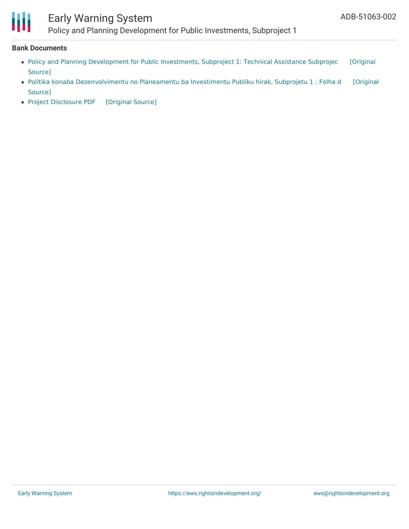

## Early Warning System

Policy and Planning Development for Public Investments, Subproject 1

#### **Bank Documents**

- Policy and Planning [Development](https://ewsdata.rightsindevelopment.org/files/documents/02/ADB-51063-002_gpAtaOo.pdf) for Public Investments, Subproject 1: Technical Assistance Subprojec [Original Source]
- Politika konaba [Dezenvolvimentu](https://ewsdata.rightsindevelopment.org/files/documents/02/ADB-51063-002_Z5utxcD.pdf) no Planeamentu ba Investimentu Publiku hirak, Subprojetu 1 : Folha d [Original Source]
- Project [Disclosure](https://ewsdata.rightsindevelopment.org/files/documents/02/ADB-51063-002.pdf) PDF [\[Original](https://www.adb.org/printpdf/projects/51063-002/main) Source]